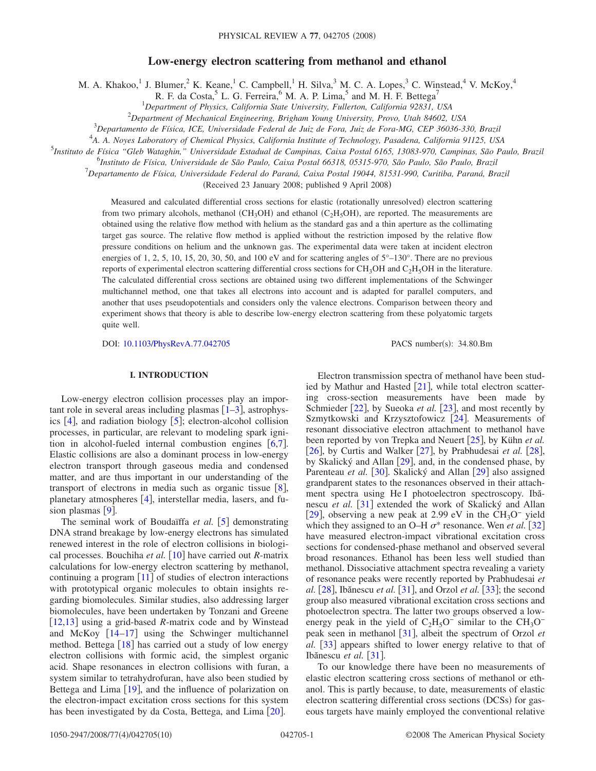# **Low-energy electron scattering from methanol and ethanol**

M. A. Khakoo,<sup>1</sup> J. Blumer,<sup>2</sup> K. Keane,<sup>1</sup> C. Campbell,<sup>1</sup> H. Silva,<sup>3</sup> M. C. A. Lopes,<sup>3</sup> C. Winstead,<sup>4</sup> V. McKoy,<sup>4</sup>

R. F. da Costa,<sup>5</sup> L. G. Ferreira,<sup>6</sup> M. A. P. Lima,<sup>5</sup> and M. H. F. Bettega<sup>7</sup>

1 *Department of Physics, California State University, Fullerton, California 92831, USA*

2 *Department of Mechanical Engineering, Brigham Young University, Provo, Utah 84602, USA*

3 *Departamento de Física, ICE, Universidade Federal de Juiz de Fora, Juiz de Fora-MG, CEP 36036-330, Brazil*

4 *A. A. Noyes Laboratory of Chemical Physics, California Institute of Technology, Pasadena, California 91125, USA*

5 *Instituto de Física "Gleb Wataghin," Universidade Estadual de Campinas, Caixa Postal 6165, 13083-970, Campinas, São Paulo, Brazil*

6 *Instituto de Física, Universidade de São Paulo, Caixa Postal 66318, 05315-970, São Paulo, São Paulo, Brazil*

7 *Departamento de Física, Universidade Federal do Paraná, Caixa Postal 19044, 81531-990, Curitiba, Paraná, Brazil*

(Received 23 January 2008; published 9 April 2008)

Measured and calculated differential cross sections for elastic (rotationally unresolved) electron scattering from two primary alcohols, methanol (CH<sub>3</sub>OH) and ethanol (C<sub>2</sub>H<sub>5</sub>OH), are reported. The measurements are obtained using the relative flow method with helium as the standard gas and a thin aperture as the collimating target gas source. The relative flow method is applied without the restriction imposed by the relative flow pressure conditions on helium and the unknown gas. The experimental data were taken at incident electron energies of 1, 2, 5, 10, 15, 20, 30, 50, and 100 eV and for scattering angles of  $5^{\circ}$ –130°. There are no previous reports of experimental electron scattering differential cross sections for  $CH<sub>3</sub>OH$  and  $C<sub>2</sub>H<sub>5</sub>OH$  in the literature. The calculated differential cross sections are obtained using two different implementations of the Schwinger multichannel method, one that takes all electrons into account and is adapted for parallel computers, and another that uses pseudopotentials and considers only the valence electrons. Comparison between theory and experiment shows that theory is able to describe low-energy electron scattering from these polyatomic targets quite well.

DOI: [10.1103/PhysRevA.77.042705](http://dx.doi.org/10.1103/PhysRevA.77.042705)

PACS number(s): 34.80.Bm

## **I. INTRODUCTION**

Low-energy electron collision processes play an important role in several areas including plasmas  $[1–3]$  $[1–3]$  $[1–3]$  $[1–3]$ , astrophysics  $[4]$  $[4]$  $[4]$ , and radiation biology  $[5]$  $[5]$  $[5]$ ; electron-alcohol collision processes, in particular, are relevant to modeling spark ignition in alcohol-fueled internal combustion engines  $[6,7]$  $[6,7]$  $[6,7]$  $[6,7]$ . Elastic collisions are also a dominant process in low-energy electron transport through gaseous media and condensed matter, and are thus important in our understanding of the transport of electrons in media such as organic tissue  $\lceil 8 \rceil$  $\lceil 8 \rceil$  $\lceil 8 \rceil$ , planetary atmospheres  $[4]$  $[4]$  $[4]$ , interstellar media, lasers, and fusion plasmas  $[9]$  $[9]$  $[9]$ .

The seminal work of Boudaïffa *et al.* [[5](#page-8-3)] demonstrating DNA strand breakage by low-energy electrons has simulated renewed interest in the role of electron collisions in biological processes. Bouchiha *et al.* [[10](#page-8-8)] have carried out *R*-matrix calculations for low-energy electron scattering by methanol, continuing a program  $\lceil 11 \rceil$  $\lceil 11 \rceil$  $\lceil 11 \rceil$  of studies of electron interactions with prototypical organic molecules to obtain insights regarding biomolecules. Similar studies, also addressing larger biomolecules, have been undertaken by Tonzani and Greene [[12](#page-8-10)[,13](#page-8-11)] using a grid-based *R*-matrix code and by Winstead and McKoy  $[14-17]$  $[14-17]$  $[14-17]$  using the Schwinger multichannel method. Bettega  $\lceil 18 \rceil$  $\lceil 18 \rceil$  $\lceil 18 \rceil$  has carried out a study of low energy electron collisions with formic acid, the simplest organic acid. Shape resonances in electron collisions with furan, a system similar to tetrahydrofuran, have also been studied by Bettega and Lima  $[19]$  $[19]$  $[19]$ , and the influence of polarization on the electron-impact excitation cross sections for this system has been investigated by da Costa, Bettega, and Lima [[20](#page-9-2)].

Electron transmission spectra of methanol have been studied by Mathur and Hasted  $[21]$  $[21]$  $[21]$ , while total electron scattering cross-section measurements have been made by Schmieder [[22](#page-9-4)], by Sueoka *et al.* [[23](#page-9-5)], and most recently by Szmytkowski and Krzysztofowicz  $[24]$  $[24]$  $[24]$ . Measurements of resonant dissociative electron attachment to methanol have been reported by von Trepka and Neuert [[25](#page-9-7)], by Kühn *et al.* [[26](#page-9-8)], by Curtis and Walker  $[27]$  $[27]$  $[27]$ , by Prabhudesai *et al.* [[28](#page-9-10)], by Skalický and Allan  $\lceil 29 \rceil$  $\lceil 29 \rceil$  $\lceil 29 \rceil$ , and, in the condensed phase, by Parenteau *et al.* [[30](#page-9-12)]. Skalický and Allan [[29](#page-9-11)] also assigned grandparent states to the resonances observed in their attachment spectra using He I photoelectron spectroscopy. Ibănescu *et al.* [[31](#page-9-13)] extended the work of Skalický and Allan [[29](#page-9-11)], observing a new peak at 2.99 eV in the  $CH_3O^-$  yield which they assigned to an O–H  $\sigma^*$  resonance. Wen *et al.* [[32](#page-9-14)] have measured electron-impact vibrational excitation cross sections for condensed-phase methanol and observed several broad resonances. Ethanol has been less well studied than methanol. Dissociative attachment spectra revealing a variety of resonance peaks were recently reported by Prabhudesai *et al.* [[28](#page-9-10)], Ibănescu *et al.* [[31](#page-9-13)], and Orzol *et al.* [[33](#page-9-15)]; the second group also measured vibrational excitation cross sections and photoelectron spectra. The latter two groups observed a lowenergy peak in the yield of  $C_2H_5O^-$  similar to the CH<sub>3</sub>O<sup>−</sup> peak seen in methanol [[31](#page-9-13)], albeit the spectrum of Orzol *et al.* [[33](#page-9-15)] appears shifted to lower energy relative to that of Ibănescu *et al.* [[31](#page-9-13)].

To our knowledge there have been no measurements of elastic electron scattering cross sections of methanol or ethanol. This is partly because, to date, measurements of elastic electron scattering differential cross sections (DCSs) for gaseous targets have mainly employed the conventional relative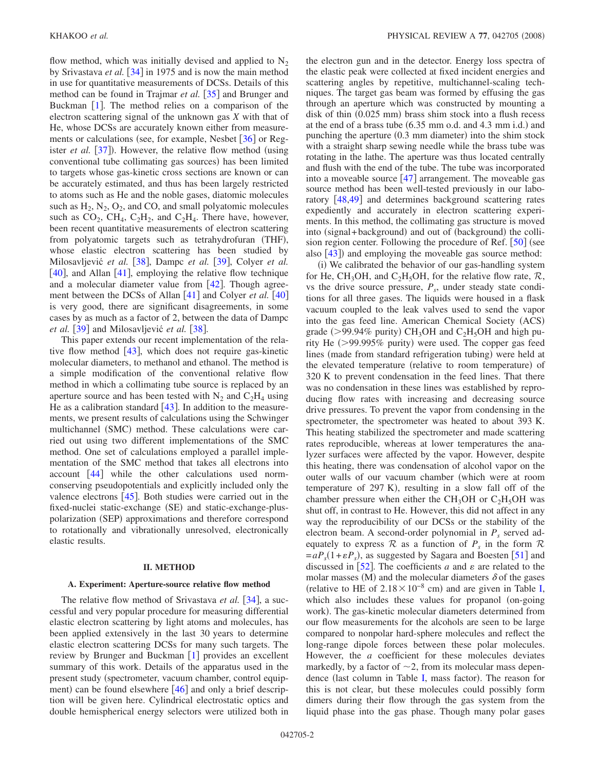flow method, which was initially devised and applied to  $N_2$ by Srivastava *et al.* [[34](#page-9-16)] in 1975 and is now the main method in use for quantitative measurements of DCSs. Details of this method can be found in Trajmar *et al.* [[35](#page-9-17)] and Brunger and Buckman  $[1]$  $[1]$  $[1]$ . The method relies on a comparison of the electron scattering signal of the unknown gas *X* with that of He, whose DCSs are accurately known either from measurements or calculations (see, for example, Nesbet  $[36]$  $[36]$  $[36]$  or Register *et al.* [[37](#page-9-19)]). However, the relative flow method (using conventional tube collimating gas sources) has been limited to targets whose gas-kinetic cross sections are known or can be accurately estimated, and thus has been largely restricted to atoms such as He and the noble gases, diatomic molecules such as  $H_2$ ,  $N_2$ ,  $O_2$ , and CO, and small polyatomic molecules such as  $CO_2$ ,  $CH_4$ ,  $C_2H_2$ , and  $C_2H_4$ . There have, however, been recent quantitative measurements of electron scattering from polyatomic targets such as tetrahydrofuran (THF), whose elastic electron scattering has been studied by Milosavljević *et al.* [[38](#page-9-20)], Dampc *et al.* [[39](#page-9-21)], Colyer *et al.*  $[40]$  $[40]$  $[40]$ , and Allan  $[41]$  $[41]$  $[41]$ , employing the relative flow technique and a molecular diameter value from  $[42]$  $[42]$  $[42]$ . Though agreement between the DCSs of Allan  $\lceil 41 \rceil$  $\lceil 41 \rceil$  $\lceil 41 \rceil$  and Colyer *et al.*  $\lceil 40 \rceil$  $\lceil 40 \rceil$  $\lceil 40 \rceil$ is very good, there are significant disagreements, in some cases by as much as a factor of 2, between the data of Dampc *et al.* [[39](#page-9-21)] and Milosavljević *et al.* [[38](#page-9-20)].

This paper extends our recent implementation of the relative flow method  $[43]$  $[43]$  $[43]$ , which does not require gas-kinetic molecular diameters, to methanol and ethanol. The method is a simple modification of the conventional relative flow method in which a collimating tube source is replaced by an aperture source and has been tested with  $N_2$  and  $C_2H_4$  using He as a calibration standard  $[43]$  $[43]$  $[43]$ . In addition to the measurements, we present results of calculations using the Schwinger multichannel (SMC) method. These calculations were carried out using two different implementations of the SMC method. One set of calculations employed a parallel implementation of the SMC method that takes all electrons into account  $[44]$  $[44]$  $[44]$  while the other calculations used normconserving pseudopotentials and explicitly included only the valence electrons  $[45]$  $[45]$  $[45]$ . Both studies were carried out in the fixed-nuclei static-exchange (SE) and static-exchange-pluspolarization (SEP) approximations and therefore correspond to rotationally and vibrationally unresolved, electronically elastic results.

#### **II. METHOD**

#### **A. Experiment: Aperture-source relative flow method**

The relative flow method of Srivastava *et al.* [[34](#page-9-16)], a successful and very popular procedure for measuring differential elastic electron scattering by light atoms and molecules, has been applied extensively in the last 30 years to determine elastic electron scattering DCSs for many such targets. The review by Brunger and Buckman  $[1]$  $[1]$  $[1]$  provides an excellent summary of this work. Details of the apparatus used in the present study (spectrometer, vacuum chamber, control equip-ment) can be found elsewhere [[46](#page-9-28)] and only a brief description will be given here. Cylindrical electrostatic optics and double hemispherical energy selectors were utilized both in the electron gun and in the detector. Energy loss spectra of the elastic peak were collected at fixed incident energies and scattering angles by repetitive, multichannel-scaling techniques. The target gas beam was formed by effusing the gas through an aperture which was constructed by mounting a disk of thin (0.025 mm) brass shim stock into a flush recess at the end of a brass tube  $(6.35 \text{ mm o.d.}$  and  $4.3 \text{ mm i.d.})$  and punching the aperture (0.3 mm diameter) into the shim stock with a straight sharp sewing needle while the brass tube was rotating in the lathe. The aperture was thus located centrally and flush with the end of the tube. The tube was incorporated into a moveable source  $\lceil 47 \rceil$  $\lceil 47 \rceil$  $\lceil 47 \rceil$  arrangement. The moveable gas source method has been well-tested previously in our labo-ratory [[48,](#page-9-30)[49](#page-9-31)] and determines background scattering rates expediently and accurately in electron scattering experiments. In this method, the collimating gas structure is moved into (signal+background) and out of (background) the collision region center. Following the procedure of Ref.  $\lceil 50 \rceil$  $\lceil 50 \rceil$  $\lceil 50 \rceil$  (see also  $[43]$  $[43]$  $[43]$ ) and employing the moveable gas source method:

(i) We calibrated the behavior of our gas-handling system for He, CH<sub>3</sub>OH, and C<sub>2</sub>H<sub>5</sub>OH, for the relative flow rate,  $\mathcal{R}$ , vs the drive source pressure,  $P_s$ , under steady state conditions for all three gases. The liquids were housed in a flask vacuum coupled to the leak valves used to send the vapor into the gas feed line. American Chemical Society (ACS) grade ( $>$ 99.94% purity) CH<sub>3</sub>OH and C<sub>2</sub>H<sub>5</sub>OH and high purity He (>99.995% purity) were used. The copper gas feed lines (made from standard refrigeration tubing) were held at the elevated temperature (relative to room temperature) of 320 K to prevent condensation in the feed lines. That there was no condensation in these lines was established by reproducing flow rates with increasing and decreasing source drive pressures. To prevent the vapor from condensing in the spectrometer, the spectrometer was heated to about 393 K. This heating stabilized the spectrometer and made scattering rates reproducible, whereas at lower temperatures the analyzer surfaces were affected by the vapor. However, despite this heating, there was condensation of alcohol vapor on the outer walls of our vacuum chamber (which were at room temperature of  $297 K$ , resulting in a slow fall off of the chamber pressure when either the  $CH_3OH$  or  $C_2H_5OH$  was shut off, in contrast to He. However, this did not affect in any way the reproducibility of our DCSs or the stability of the electron beam. A second-order polynomial in  $P_s$  served adequately to express  $\mathcal R$  as a function of  $P_s$  in the form  $\mathcal R$  $= aP_s(1 + \varepsilon P_s)$ , as suggested by Sagara and Boesten [[51](#page-9-33)] and discussed in  $[52]$  $[52]$  $[52]$ . The coefficients *a* and  $\varepsilon$  are related to the molar masses (M) and the molecular diameters  $\delta$  of the gases (relative to HE of  $2.18 \times 10^{-8}$  cm) and are given in Table [I,](#page-2-0) which also includes these values for propanol (on-going work). The gas-kinetic molecular diameters determined from our flow measurements for the alcohols are seen to be large compared to nonpolar hard-sphere molecules and reflect the long-range dipole forces between these polar molecules. However, the *a* coefficient for these molecules deviates markedly, by a factor of  $\sim$ 2, from its molecular mass depen-dence (last column in Table [I,](#page-2-0) mass factor). The reason for this is not clear, but these molecules could possibly form dimers during their flow through the gas system from the liquid phase into the gas phase. Though many polar gases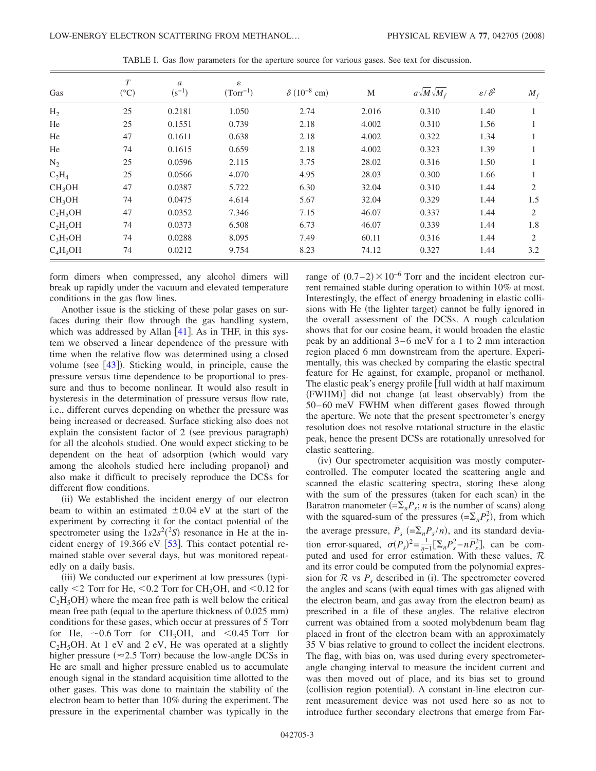<span id="page-2-0"></span>

| Gas                | $\tau$<br>$({}^{\circ}C)$ | $\mathfrak{a}$<br>$(s^{-1})$ | ε<br>$(Torr^{-1})$ | $\delta (10^{-8}$ cm) | M     | $a\sqrt{M}\sqrt{M_f}$ | $\varepsilon/\delta^2$ | $M_f$ |
|--------------------|---------------------------|------------------------------|--------------------|-----------------------|-------|-----------------------|------------------------|-------|
| $H_2$              | 25                        | 0.2181                       | 1.050              | 2.74                  | 2.016 | 0.310                 | 1.40                   |       |
| He                 | 25                        | 0.1551                       | 0.739              | 2.18                  | 4.002 | 0.310                 | 1.56                   |       |
| He                 | 47                        | 0.1611                       | 0.638              | 2.18                  | 4.002 | 0.322                 | 1.34                   |       |
| He                 | 74                        | 0.1615                       | 0.659              | 2.18                  | 4.002 | 0.323                 | 1.39                   |       |
| $N_2$              | 25                        | 0.0596                       | 2.115              | 3.75                  | 28.02 | 0.316                 | 1.50                   |       |
| $C_2H_4$           | 25                        | 0.0566                       | 4.070              | 4.95                  | 28.03 | 0.300                 | 1.66                   |       |
| CH <sub>3</sub> OH | 47                        | 0.0387                       | 5.722              | 6.30                  | 32.04 | 0.310                 | 1.44                   | 2     |
| CH <sub>3</sub> OH | 74                        | 0.0475                       | 4.614              | 5.67                  | 32.04 | 0.329                 | 1.44                   | 1.5   |
| $C_2H_5OH$         | 47                        | 0.0352                       | 7.346              | 7.15                  | 46.07 | 0.337                 | 1.44                   | 2     |
| $C_2H_5OH$         | 74                        | 0.0373                       | 6.508              | 6.73                  | 46.07 | 0.339                 | 1.44                   | 1.8   |
| $C_3H_7OH$         | 74                        | 0.0288                       | 8.095              | 7.49                  | 60.11 | 0.316                 | 1.44                   | 2     |
| $C_4H_9OH$         | 74                        | 0.0212                       | 9.754              | 8.23                  | 74.12 | 0.327                 | 1.44                   | 3.2   |

TABLE I. Gas flow parameters for the aperture source for various gases. See text for discussion.

form dimers when compressed, any alcohol dimers will break up rapidly under the vacuum and elevated temperature conditions in the gas flow lines.

Another issue is the sticking of these polar gases on surfaces during their flow through the gas handling system, which was addressed by Allan  $[41]$  $[41]$  $[41]$ . As in THF, in this system we observed a linear dependence of the pressure with time when the relative flow was determined using a closed volume (see  $[43]$  $[43]$  $[43]$ ). Sticking would, in principle, cause the pressure versus time dependence to be proportional to pressure and thus to become nonlinear. It would also result in hysteresis in the determination of pressure versus flow rate, i.e., different curves depending on whether the pressure was being increased or decreased. Surface sticking also does not explain the consistent factor of 2 (see previous paragraph) for all the alcohols studied. One would expect sticking to be dependent on the heat of adsorption (which would vary among the alcohols studied here including propanol) and also make it difficult to precisely reproduce the DCSs for different flow conditions.

(ii) We established the incident energy of our electron beam to within an estimated  $\pm 0.04$  eV at the start of the experiment by correcting it for the contact potential of the spectrometer using the  $1s2s^2(^2S)$  resonance in He at the incident energy of 19.366 eV  $\lceil 53 \rceil$  $\lceil 53 \rceil$  $\lceil 53 \rceil$ . This contact potential remained stable over several days, but was monitored repeatedly on a daily basis.

(iii) We conducted our experiment at low pressures (typically  $\leq$  2 Torr for He,  $\leq$  0.2 Torr for CH<sub>3</sub>OH, and  $\leq$  0.12 for  $C_2H_5OH$ ) where the mean free path is well below the critical mean free path (equal to the aperture thickness of 0.025 mm) conditions for these gases, which occur at pressures of 5 Torr for He,  $\sim 0.6$  Torr for CH<sub>3</sub>OH, and  $\lt 0.45$  Torr for  $C_2H_5OH$ . At 1 eV and 2 eV, He was operated at a slightly higher pressure ( $\approx$  2.5 Torr) because the low-angle DCSs in He are small and higher pressure enabled us to accumulate enough signal in the standard acquisition time allotted to the other gases. This was done to maintain the stability of the electron beam to better than 10% during the experiment. The pressure in the experimental chamber was typically in the

range of  $(0.7-2) \times 10^{-6}$  Torr and the incident electron current remained stable during operation to within 10% at most. Interestingly, the effect of energy broadening in elastic collisions with He (the lighter target) cannot be fully ignored in the overall assessment of the DCSs. A rough calculation shows that for our cosine beam, it would broaden the elastic peak by an additional 3–6 meV for a 1 to 2 mm interaction region placed 6 mm downstream from the aperture. Experimentally, this was checked by comparing the elastic spectral feature for He against, for example, propanol or methanol. The elastic peak's energy profile [full width at half maximum (FWHM)] did not change (at least observably) from the 50–60 meV FWHM when different gases flowed through the aperture. We note that the present spectrometer's energy resolution does not resolve rotational structure in the elastic peak, hence the present DCSs are rotationally unresolved for elastic scattering.

(iv) Our spectrometer acquisition was mostly computercontrolled. The computer located the scattering angle and scanned the elastic scattering spectra, storing these along with the sum of the pressures (taken for each scan) in the Baratron manometer  $(=\sum_{n} P_s; n$  is the number of scans) along with the squared-sum of the pressures  $(=\sum_n P_s^2)$ , from which the average pressure,  $\overline{P}_s$  (= $\Sigma_n P_s/n$ ), and its standard deviation error-squared,  $\sigma(P_s)^2 = \frac{1}{n-1} [\Sigma_n P_s^2 - n\overline{P}_s^2]$ , can be computed and used for error estimation. With these values,  $\mathcal R$ and its error could be computed from the polynomial expression for  $R$  vs  $P_s$  described in (i). The spectrometer covered the angles and scans (with equal times with gas aligned with the electron beam, and gas away from the electron beam) as prescribed in a file of these angles. The relative electron current was obtained from a sooted molybdenum beam flag placed in front of the electron beam with an approximately 35 V bias relative to ground to collect the incident electrons. The flag, with bias on, was used during every spectrometerangle changing interval to measure the incident current and was then moved out of place, and its bias set to ground (collision region potential). A constant in-line electron current measurement device was not used here so as not to introduce further secondary electrons that emerge from Far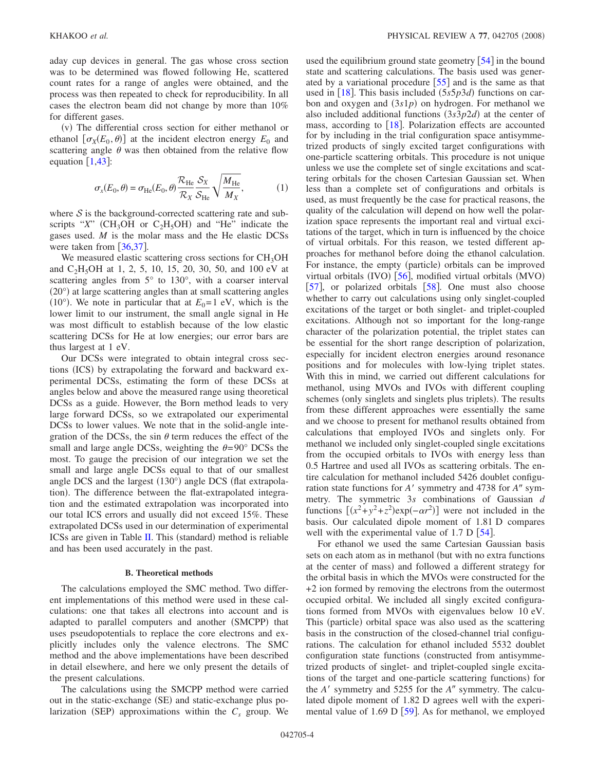aday cup devices in general. The gas whose cross section was to be determined was flowed following He, scattered count rates for a range of angles were obtained, and the process was then repeated to check for reproducibility. In all cases the electron beam did not change by more than 10% for different gases.

(v) The differential cross section for either methanol or ethanol  $\left[ \sigma_X(E_0, \theta) \right]$  at the incident electron energy  $E_0$  and scattering angle  $\theta$  was then obtained from the relative flow equation  $\lceil 1, 43 \rceil$  $\lceil 1, 43 \rceil$  $\lceil 1, 43 \rceil$  $\lceil 1, 43 \rceil$  $\lceil 1, 43 \rceil$ :

$$
\sigma_x(E_0, \theta) = \sigma_{\text{He}}(E_0, \theta) \frac{\mathcal{R}_{\text{He}}}{\mathcal{R}_X} \frac{\mathcal{S}_X}{\mathcal{S}_{\text{He}}} \sqrt{\frac{M_{\text{He}}}{M_X}},
$$
(1)

where  $S$  is the background-corrected scattering rate and subscripts " $X$ " (CH<sub>3</sub>OH or C<sub>2</sub>H<sub>5</sub>OH) and "He" indicate the gases used. *M* is the molar mass and the He elastic DCSs were taken from  $\left[36,37\right]$  $\left[36,37\right]$  $\left[36,37\right]$  $\left[36,37\right]$ .

We measured elastic scattering cross sections for  $CH<sub>3</sub>OH$ and  $C_2H_5OH$  at 1, 2, 5, 10, 15, 20, 30, 50, and 100 eV at scattering angles from 5° to 130°, with a coarser interval (20°) at large scattering angles than at small scattering angles (10°). We note in particular that at  $E_0=1$  eV, which is the lower limit to our instrument, the small angle signal in He was most difficult to establish because of the low elastic scattering DCSs for He at low energies; our error bars are thus largest at 1 eV.

Our DCSs were integrated to obtain integral cross sections (ICS) by extrapolating the forward and backward experimental DCSs, estimating the form of these DCSs at angles below and above the measured range using theoretical DCSs as a guide. However, the Born method leads to very large forward DCSs, so we extrapolated our experimental DCSs to lower values. We note that in the solid-angle integration of the DCSs, the sin  $\theta$  term reduces the effect of the small and large angle DCSs, weighting the  $\theta = 90^\circ$  DCSs the most. To gauge the precision of our integration we set the small and large angle DCSs equal to that of our smallest angle DCS and the largest (130°) angle DCS (flat extrapolation). The difference between the flat-extrapolated integration and the estimated extrapolation was incorporated into our total ICS errors and usually did not exceed 15%. These extrapolated DCSs used in our determination of experimental ICSs are given in Table  $II$ . This (standard) method is reliable and has been used accurately in the past.

#### **B. Theoretical methods**

The calculations employed the SMC method. Two different implementations of this method were used in these calculations: one that takes all electrons into account and is adapted to parallel computers and another (SMCPP) that uses pseudopotentials to replace the core electrons and explicitly includes only the valence electrons. The SMC method and the above implementations have been described in detail elsewhere, and here we only present the details of the present calculations.

The calculations using the SMCPP method were carried out in the static-exchange (SE) and static-exchange plus polarization (SEP) approximations within the  $C_s$  group. We

used the equilibrium ground state geometry  $\vert 54 \vert$  $\vert 54 \vert$  $\vert 54 \vert$  in the bound state and scattering calculations. The basis used was generated by a variational procedure  $\lceil 55 \rceil$  $\lceil 55 \rceil$  $\lceil 55 \rceil$  and is the same as that used in  $[18]$  $[18]$  $[18]$ . This basis included  $(5s5p3d)$  functions on carbon and oxygen and  $(3s1p)$  on hydrogen. For methanol we also included additional functions  $(3s3p2d)$  at the center of mass, according to  $\lceil 18 \rceil$  $\lceil 18 \rceil$  $\lceil 18 \rceil$ . Polarization effects are accounted for by including in the trial configuration space antisymmetrized products of singly excited target configurations with one-particle scattering orbitals. This procedure is not unique unless we use the complete set of single excitations and scattering orbitals for the chosen Cartesian Gaussian set. When less than a complete set of configurations and orbitals is used, as must frequently be the case for practical reasons, the quality of the calculation will depend on how well the polarization space represents the important real and virtual excitations of the target, which in turn is influenced by the choice of virtual orbitals. For this reason, we tested different approaches for methanol before doing the ethanol calculation. For instance, the empty (particle) orbitals can be improved virtual orbitals (IVO)  $[56]$  $[56]$  $[56]$ , modified virtual orbitals (MVO) [[57](#page-9-39)], or polarized orbitals  $\left[58\right]$  $\left[58\right]$  $\left[58\right]$ . One must also choose whether to carry out calculations using only singlet-coupled excitations of the target or both singlet- and triplet-coupled excitations. Although not so important for the long-range character of the polarization potential, the triplet states can be essential for the short range description of polarization, especially for incident electron energies around resonance positions and for molecules with low-lying triplet states. With this in mind, we carried out different calculations for methanol, using MVOs and IVOs with different coupling schemes (only singlets and singlets plus triplets). The results from these different approaches were essentially the same and we choose to present for methanol results obtained from calculations that employed IVOs and singlets only. For methanol we included only singlet-coupled single excitations from the occupied orbitals to IVOs with energy less than 0.5 Hartree and used all IVOs as scattering orbitals. The entire calculation for methanol included 5426 doublet configuration state functions for *A*<sup> $\prime$ </sup> symmetry and 4738 for *A*<sup> $\prime\prime$ </sup> symmetry. The symmetric 3*s* combinations of Gaussian *d* functions  $[(x^2+y^2+z^2)exp(-\alpha r^2)]$  were not included in the basis. Our calculated dipole moment of 1.81 D compares well with the experimental value of 1.7 D  $[54]$  $[54]$  $[54]$ .

For ethanol we used the same Cartesian Gaussian basis sets on each atom as in methanol (but with no extra functions at the center of mass) and followed a different strategy for the orbital basis in which the MVOs were constructed for the +2 ion formed by removing the electrons from the outermost occupied orbital. We included all singly excited configurations formed from MVOs with eigenvalues below 10 eV. This (particle) orbital space was also used as the scattering basis in the construction of the closed-channel trial configurations. The calculation for ethanol included 5532 doublet configuration state functions (constructed from antisymmetrized products of singlet- and triplet-coupled single excitations of the target and one-particle scattering functions) for the *A*' symmetry and 5255 for the *A*" symmetry. The calculated dipole moment of 1.82 D agrees well with the experimental value of 1.69 D  $[59]$  $[59]$  $[59]$ . As for methanol, we employed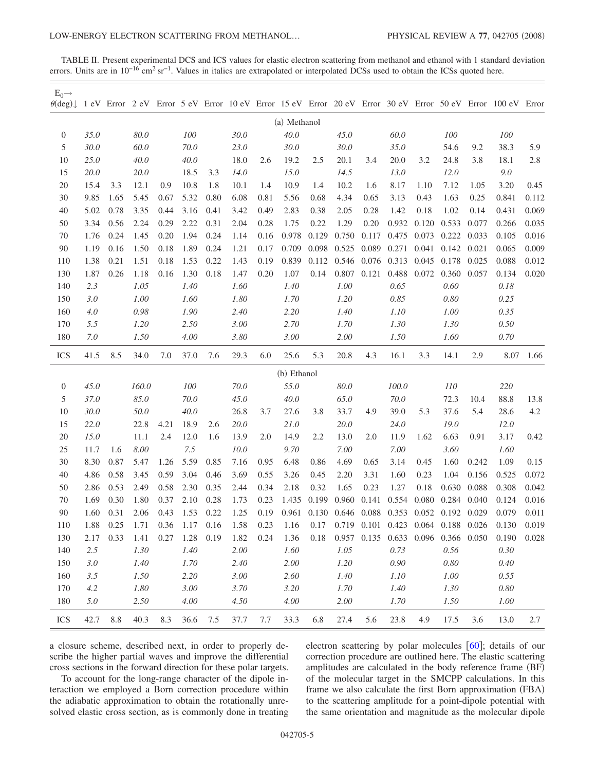<span id="page-4-0"></span>TABLE II. Present experimental DCS and ICS values for elastic electron scattering from methanol and ethanol with 1 standard deviation errors. Units are in 10<sup>-16</sup> cm<sup>2</sup> sr<sup>-1</sup>. Values in italics are extrapolated or interpolated DCSs used to obtain the ICSs quoted here.

| $E_0 \rightarrow$<br>$\theta(\text{deg})\downarrow$ |      |           |             |      |             |                  |          |      |              |       |       |             |                                                    |       |            |       | 1 eV Error 2 eV Error 5 eV Error 10 eV Error 15 eV Error 20 eV Error 30 eV Error 50 eV Error 100 eV Error |       |
|-----------------------------------------------------|------|-----------|-------------|------|-------------|------------------|----------|------|--------------|-------|-------|-------------|----------------------------------------------------|-------|------------|-------|-----------------------------------------------------------------------------------------------------------|-------|
|                                                     |      |           |             |      |             |                  |          |      | (a) Methanol |       |       |             |                                                    |       |            |       |                                                                                                           |       |
| $\boldsymbol{0}$                                    | 35.0 |           | 80.0        |      | ${\it 100}$ |                  | 30.0     |      | 40.0         |       | 45.0  |             | 60.0                                               |       | 100        |       | 100                                                                                                       |       |
| 5                                                   | 30.0 |           | 60.0        |      | 70.0        |                  | 23.0     |      | 30.0         |       | 30.0  |             | 35.0                                               |       | 54.6       | 9.2   | 38.3                                                                                                      | 5.9   |
| 10                                                  | 25.0 |           | 40.0        |      | 40.0        |                  | 18.0     | 2.6  | 19.2         | 2.5   | 20.1  | 3.4         | 20.0                                               | 3.2   | 24.8       | 3.8   | 18.1                                                                                                      | 2.8   |
| 15                                                  | 20.0 |           | <i>20.0</i> |      | 18.5        | 3.3              | 14.0     |      | 15.0         |       | 14.5  |             | 13.0                                               |       | 12.0       |       | 9.0                                                                                                       |       |
| 20                                                  | 15.4 | 3.3       | 12.1        | 0.9  | 10.8        | 1.8              | 10.1     | 1.4  | 10.9         | 1.4   | 10.2  | 1.6         | 8.17                                               | 1.10  | 7.12       | 1.05  | 3.20                                                                                                      | 0.45  |
| 30                                                  | 9.85 | 1.65      | 5.45        | 0.67 | 5.32        | 0.80             | 6.08     | 0.81 | 5.56         | 0.68  | 4.34  | 0.65        | 3.13                                               | 0.43  | 1.63       | 0.25  | 0.841                                                                                                     | 0.112 |
| 40                                                  | 5.02 | 0.78      | 3.35        | 0.44 | 3.16        | 0.41             | 3.42     | 0.49 | 2.83         | 0.38  | 2.05  | 0.28        | 1.42                                               | 0.18  | 1.02       | 0.14  | 0.431                                                                                                     | 0.069 |
| 50                                                  | 3.34 | 0.56      | 2.24        | 0.29 | 2.22        | 0.31             | 2.04     | 0.28 | 1.75         | 0.22  | 1.29  | 0.20        | 0.932                                              | 0.120 | 0.533      | 0.077 | 0.266                                                                                                     | 0.035 |
| 70                                                  | 1.76 | 0.24      | 1.45        | 0.20 | 1.94        | 0.24             | 1.14     | 0.16 | 0.978        | 0.129 | 0.750 | 0.117       | 0.475                                              | 0.073 | 0.222      | 0.033 | 0.105                                                                                                     | 0.016 |
| 90                                                  | 1.19 | 0.16      | 1.50        | 0.18 | 1.89        | 0.24             | 1.21     | 0.17 | 0.709        | 0.098 | 0.525 | 0.089       | 0.271                                              | 0.041 | 0.142      | 0.021 | 0.065                                                                                                     | 0.009 |
| 110                                                 | 1.38 | 0.21      | 1.51        | 0.18 | 1.53        | 0.22             | 1.43     | 0.19 | 0.839        | 0.112 | 0.546 | 0.076 0.313 |                                                    | 0.045 | 0.178      | 0.025 | 0.088                                                                                                     | 0.012 |
| 130                                                 | 1.87 | 0.26      | 1.18        | 0.16 | 1.30        | 0.18             | 1.47     | 0.20 | 1.07         | 0.14  | 0.807 | 0.121       | 0.488                                              | 0.072 | 0.360      | 0.057 | 0.134                                                                                                     | 0.020 |
| 140                                                 | 2.3  |           | 1.05        |      | 1.40        |                  | 1.60     |      | 1.40         |       | 1.00  |             | 0.65                                               |       | 0.60       |       | 0.18                                                                                                      |       |
| 150                                                 | 3.0  |           | 1.00        |      | 1.60        |                  | $1.80\,$ |      | 1.70         |       | 1.20  |             | 0.85                                               |       | 0.80       |       | 0.25                                                                                                      |       |
| 160                                                 | 4.0  |           | 0.98        |      | 1.90        |                  | 2.40     |      | 2.20         |       | 1.40  |             | 1.10                                               |       | 1.00       |       | 0.35                                                                                                      |       |
| 170                                                 | 5.5  |           | 1.20        |      | 2.50        |                  | 3.00     |      | 2.70         |       | 1.70  |             | 1.30                                               |       | 1.30       |       | 0.50                                                                                                      |       |
| 180                                                 | 7.0  |           | 1.50        |      | 4.00        |                  | 3.80     |      | 3.00         |       | 2.00  |             | 1.50                                               |       | 1.60       |       | 0.70                                                                                                      |       |
| <b>ICS</b>                                          | 41.5 | 8.5       | 34.0        | 7.0  | 37.0        | 7.6              | 29.3     | 6.0  | 25.6         | 5.3   | 20.8  | 4.3         | 16.1                                               | 3.3   | 14.1       | 2.9   | 8.07                                                                                                      | 1.66  |
|                                                     |      |           |             |      |             |                  |          |      | (b) Ethanol  |       |       |             |                                                    |       |            |       |                                                                                                           |       |
| $\boldsymbol{0}$                                    | 45.0 |           | 160.0       |      | 100         |                  | 70.0     |      | 55.0         |       | 80.0  |             | 100.0                                              |       | <i>110</i> |       | 220                                                                                                       |       |
| 5                                                   | 37.0 |           | 85.0        |      | 70.0        |                  | 45.0     |      | 40.0         |       | 65.0  |             | 70.0                                               |       | 72.3       | 10.4  | 88.8                                                                                                      | 13.8  |
| 10                                                  | 30.0 |           | 50.0        |      | 40.0        |                  | 26.8     | 3.7  | 27.6         | 3.8   | 33.7  | 4.9         | 39.0                                               | 5.3   | 37.6       | 5.4   | 28.6                                                                                                      | 4.2   |
| 15                                                  | 22.0 |           | 22.8        | 4.21 | 18.9        | 2.6              | 20.0     |      | 21.0         |       | 20.0  |             | 24.0                                               |       | 19.0       |       | 12.0                                                                                                      |       |
| 20                                                  | 15.0 |           | 11.1        | 2.4  | 12.0        | 1.6              | 13.9     | 2.0  | 14.9         | 2.2   | 13.0  | 2.0         | 11.9                                               | 1.62  | 6.63       | 0.91  | 3.17                                                                                                      | 0.42  |
| 25                                                  | 11.7 | 1.6       | 8.00        |      | 7.5         |                  | 10.0     |      | 9.70         |       | 7.00  |             | 7.00                                               |       | 3.60       |       | 1.60                                                                                                      |       |
| 30                                                  | 8.30 | 0.87      | 5.47        | 1.26 | 5.59        | 0.85             | 7.16     | 0.95 | 6.48         | 0.86  | 4.69  | 0.65        | 3.14                                               | 0.45  | 1.60       | 0.242 | 1.09                                                                                                      | 0.15  |
| 40                                                  | 4.86 | 0.58      | 3.45        | 0.59 | 3.04        | 0.46             | 3.69     | 0.55 | 3.26         | 0.45  | 2.20  | 3.31        | 1.60                                               | 0.23  | 1.04       | 0.156 | 0.525                                                                                                     | 0.072 |
| 50                                                  | 2.86 | 0.53      | 2.49        | 0.58 | 2.30        | 0.35             | 2.44     | 0.34 | 2.18         | 0.32  | 1.65  | 0.23        | 1.27                                               | 0.18  | 0.630      | 0.088 | 0.308                                                                                                     | 0.042 |
| 70                                                  | 1.69 | 0.30      | 1.80        | 0.37 | 2.10        | 0.28             | 1.73     | 0.23 | 1.435        | 0.199 | 0.960 | 0.141       | 0.554                                              | 0.080 | 0.284      | 0.040 | 0.124                                                                                                     | 0.016 |
| 90                                                  | 1.60 | 0.31      | 2.06        | 0.43 | 1.53        | 0.22             | 1.25     | 0.19 | 0.961        | 0.130 | 0.646 | 0.088       | 0.353                                              | 0.052 | 0.192      | 0.029 | 0.079                                                                                                     | 0.011 |
| 110                                                 | 1.88 | 0.25      | 1.71        |      |             | $0.36$ 1.17 0.16 | 1.58     |      |              |       |       |             | 0.23 1.16 0.17 0.719 0.101 0.423 0.064 0.188 0.026 |       |            |       | 0.130                                                                                                     | 0.019 |
| 130                                                 |      | 2.17 0.33 | 1.41        | 0.27 | 1.28 0.19   |                  | 1.82     | 0.24 | 1.36         |       |       |             | 0.18 0.957 0.135 0.633 0.096 0.366 0.050           |       |            |       | $0.190$ $0.028$                                                                                           |       |
| 140                                                 | 2.5  |           | 1.30        |      | 1.40        |                  | 2.00     |      | 1.60         |       | 1.05  |             | 0.73                                               |       | 0.56       |       | 0.30                                                                                                      |       |
| 150                                                 | 3.0  |           | 1.40        |      | 1.70        |                  | 2.40     |      | $2.00\,$     |       | 1.20  |             | 0.90                                               |       | 0.80       |       | 0.40                                                                                                      |       |
| 160                                                 | 3.5  |           | 1.50        |      | 2.20        |                  | 3.00     |      | 2.60         |       | 1.40  |             | 1.10                                               |       | 1.00       |       | 0.55                                                                                                      |       |
| 170                                                 | 4.2  |           | 1.80        |      | 3.00        |                  | 3.70     |      | 3.20         |       | 1.70  |             | 1.40                                               |       | 1.30       |       | 0.80                                                                                                      |       |
| 180                                                 | 5.0  |           | 2.50        |      | 4.00        |                  | 4.50     |      | 4.00         |       | 2.00  |             | 1.70                                               |       | 1.50       |       | 1.00                                                                                                      |       |
| <b>ICS</b>                                          | 42.7 | 8.8       | 40.3        | 8.3  | 36.6 7.5    |                  | 37.7     | 7.7  | 33.3         | 6.8   | 27.4  | 5.6         | 23.8                                               | 4.9   | 17.5       | 3.6   | 13.0                                                                                                      | 2.7   |

a closure scheme, described next, in order to properly describe the higher partial waves and improve the differential cross sections in the forward direction for these polar targets.

To account for the long-range character of the dipole interaction we employed a Born correction procedure within the adiabatic approximation to obtain the rotationally unresolved elastic cross section, as is commonly done in treating electron scattering by polar molecules  $[60]$  $[60]$  $[60]$ ; details of our correction procedure are outlined here. The elastic scattering amplitudes are calculated in the body reference frame (BF) of the molecular target in the SMCPP calculations. In this frame we also calculate the first Born approximation (FBA) to the scattering amplitude for a point-dipole potential with the same orientation and magnitude as the molecular dipole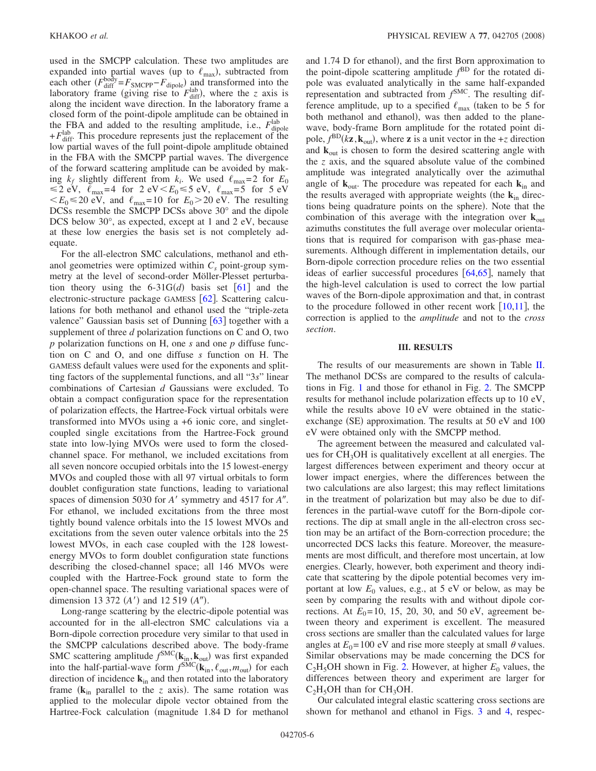used in the SMCPP calculation. These two amplitudes are expanded into partial waves (up to  $\ell_{\text{max}}$ ), subtracted from each other  $(F_{\text{diff}}^{\text{body}} = F_{\text{SMCPP}} - F_{\text{dipole}})$  and transformed into the laboratory frame (giving rise to  $F_{\text{diff}}^{\text{lab}}$ ), where the *z* axis is along the incident wave direction. In the laboratory frame a closed form of the point-dipole amplitude can be obtained in the FBA and added to the resulting amplitude, i.e.,  $F_{\text{dipole}}^{\text{lab}}$  $+ F_{\text{diff}}^{\text{lab}}$ . This procedure represents just the replacement of the low partial waves of the full point-dipole amplitude obtained in the FBA with the SMCPP partial waves. The divergence of the forward scattering amplitude can be avoided by making  $k_f$  slightly different from  $k_i$ . We used  $\ell_{\text{max}}=2$  for  $E_0$  $\leq$ 2 eV,  $\ell_{\text{max}}$ =4 for 2 eV $\lt E_0 \leq 5$  eV,  $\ell_{\text{max}}$ =5 for 5 eV  $\langle E_0 \le 20 \text{ eV} \rangle$ , and  $\ell_{\text{max}} = 10$  for  $E_0 > 20 \text{ eV}$ . The resulting DCSs resemble the SMCPP DCSs above 30° and the dipole DCS below 30°, as expected, except at 1 and 2 eV, because at these low energies the basis set is not completely adequate.

For the all-electron SMC calculations, methanol and ethanol geometries were optimized within  $C_s$  point-group symmetry at the level of second-order Möller-Plesset perturbation theory using the  $6-31G(d)$  basis set  $[61]$  $[61]$  $[61]$  and the electronic-structure package GAMESS  $[62]$  $[62]$  $[62]$ . Scattering calculations for both methanol and ethanol used the "triple-zeta valence" Gaussian basis set of Dunning  $[63]$  $[63]$  $[63]$  together with a supplement of three *d* polarization functions on C and O, two *p* polarization functions on H, one *s* and one *p* diffuse function on C and O, and one diffuse *s* function on H. The GAMESS default values were used for the exponents and splitting factors of the supplemental functions, and all "3*s*" linear combinations of Cartesian *d* Gaussians were excluded. To obtain a compact configuration space for the representation of polarization effects, the Hartree-Fock virtual orbitals were transformed into MVOs using a +6 ionic core, and singletcoupled single excitations from the Hartree-Fock ground state into low-lying MVOs were used to form the closedchannel space. For methanol, we included excitations from all seven noncore occupied orbitals into the 15 lowest-energy MVOs and coupled those with all 97 virtual orbitals to form doublet configuration state functions, leading to variational spaces of dimension 5030 for *A'* symmetry and 4517 for *A"*. For ethanol, we included excitations from the three most tightly bound valence orbitals into the 15 lowest MVOs and excitations from the seven outer valence orbitals into the 25 lowest MVOs, in each case coupled with the 128 lowestenergy MVOs to form doublet configuration state functions describing the closed-channel space; all 146 MVOs were coupled with the Hartree-Fock ground state to form the open-channel space. The resulting variational spaces were of dimension 13 372  $(A')$  and 12 519  $(A'')$ .

Long-range scattering by the electric-dipole potential was accounted for in the all-electron SMC calculations via a Born-dipole correction procedure very similar to that used in the SMCPP calculations described above. The body-frame SMC scattering amplitude  $f^{\text{SMC}}(\mathbf{k}_{\text{in}}, \mathbf{k}_{\text{out}})$  was first expanded into the half-partial-wave form  $f<sup>SMC</sup>(\mathbf{k}_{in}, \ell_{out}, m_{out})$  for each direction of incidence **k**in and then rotated into the laboratory frame  $(k_{in}$  parallel to the *z* axis). The same rotation was applied to the molecular dipole vector obtained from the Hartree-Fock calculation (magnitude 1.84 D for methanol

and 1.74 D for ethanol), and the first Born approximation to the point-dipole scattering amplitude *f* BD for the rotated dipole was evaluated analytically in the same half-expanded representation and subtracted from *f* SMC. The resulting difference amplitude, up to a specified  $\ell_{\text{max}}$  (taken to be 5 for both methanol and ethanol), was then added to the planewave, body-frame Born amplitude for the rotated point dipole,  $f^{\text{BD}}(k\mathbf{z}, \mathbf{k}_{\text{out}})$ , where **z** is a unit vector in the +*z* direction and  $\bf{k}_{\text{out}}$  is chosen to form the desired scattering angle with the *z* axis, and the squared absolute value of the combined amplitude was integrated analytically over the azimuthal angle of  $\mathbf{k}_{\text{out}}$ . The procedure was repeated for each  $\mathbf{k}_{\text{in}}$  and the results averaged with appropriate weights (the  $k_{in}$  directions being quadrature points on the sphere). Note that the combination of this average with the integration over  $\mathbf{k}_{\text{out}}$ azimuths constitutes the full average over molecular orientations that is required for comparison with gas-phase measurements. Although different in implementation details, our Born-dipole correction procedure relies on the two essential ideas of earlier successful procedures  $[64, 65]$  $[64, 65]$  $[64, 65]$  $[64, 65]$  $[64, 65]$ , namely that the high-level calculation is used to correct the low partial waves of the Born-dipole approximation and that, in contrast to the procedure followed in other recent work  $[10,11]$  $[10,11]$  $[10,11]$  $[10,11]$ , the correction is applied to the *amplitude* and not to the *cross section*.

### **III. RESULTS**

The results of our measurements are shown in Table [II.](#page-4-0) The methanol DCSs are compared to the results of calculations in Fig. [1](#page-6-0) and those for ethanol in Fig. [2.](#page-7-0) The SMCPP results for methanol include polarization effects up to 10 eV, while the results above 10 eV were obtained in the staticexchange (SE) approximation. The results at 50 eV and 100 eV were obtained only with the SMCPP method.

The agreement between the measured and calculated values for CH<sub>3</sub>OH is qualitatively excellent at all energies. The largest differences between experiment and theory occur at lower impact energies, where the differences between the two calculations are also largest; this may reflect limitations in the treatment of polarization but may also be due to differences in the partial-wave cutoff for the Born-dipole corrections. The dip at small angle in the all-electron cross section may be an artifact of the Born-correction procedure; the uncorrected DCS lacks this feature. Moreover, the measurements are most difficult, and therefore most uncertain, at low energies. Clearly, however, both experiment and theory indicate that scattering by the dipole potential becomes very important at low  $E_0$  values, e.g., at 5 eV or below, as may be seen by comparing the results with and without dipole corrections. At  $E_0 = 10$ , 15, 20, 30, and 50 eV, agreement between theory and experiment is excellent. The measured cross sections are smaller than the calculated values for large angles at  $E_0$ =100 eV and rise more steeply at small  $\theta$  values. Similar observations may be made concerning the DCS for  $C_2H_5OH$  shown in Fig. [2.](#page-7-0) However, at higher  $E_0$  values, the differences between theory and experiment are larger for  $C_2H_5OH$  than for  $CH_3OH$ .

Our calculated integral elastic scattering cross sections are shown for methanol and ethanol in Figs. [3](#page-8-13) and [4,](#page-8-14) respec-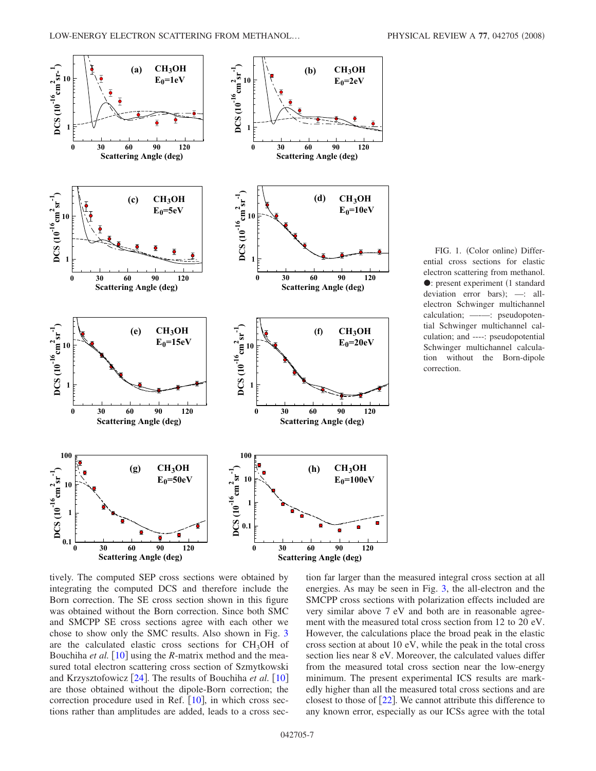<span id="page-6-0"></span>

FIG. 1. (Color online) Differential cross sections for elastic electron scattering from methanol. : present experiment 1 standard deviation error bars); -: allelectron Schwinger multichannel calculation; ------: pseudopotential Schwinger multichannel calculation; and ----: pseudopotential Schwinger multichannel calculation without the Born-dipole correction.

tively. The computed SEP cross sections were obtained by integrating the computed DCS and therefore include the Born correction. The SE cross section shown in this figure was obtained without the Born correction. Since both SMC and SMCPP SE cross sections agree with each other we chose to show only the SMC results. Also shown in Fig. [3](#page-8-13) are the calculated elastic cross sections for  $CH<sub>3</sub>OH$  of Bouchiha *et al.* [[10](#page-8-8)] using the *R*-matrix method and the measured total electron scattering cross section of Szmytkowski and Krzysztofowicz  $\lceil 24 \rceil$  $\lceil 24 \rceil$  $\lceil 24 \rceil$ . The results of Bouchiha *et al.*  $\lceil 10 \rceil$  $\lceil 10 \rceil$  $\lceil 10 \rceil$ are those obtained without the dipole-Born correction; the correction procedure used in Ref.  $[10]$  $[10]$  $[10]$ , in which cross sections rather than amplitudes are added, leads to a cross section far larger than the measured integral cross section at all energies. As may be seen in Fig. [3,](#page-8-13) the all-electron and the SMCPP cross sections with polarization effects included are very similar above 7 eV and both are in reasonable agreement with the measured total cross section from 12 to 20 eV. However, the calculations place the broad peak in the elastic cross section at about 10 eV, while the peak in the total cross section lies near 8 eV. Moreover, the calculated values differ from the measured total cross section near the low-energy minimum. The present experimental ICS results are markedly higher than all the measured total cross sections and are closest to those of  $\lceil 22 \rceil$  $\lceil 22 \rceil$  $\lceil 22 \rceil$ . We cannot attribute this difference to any known error, especially as our ICSs agree with the total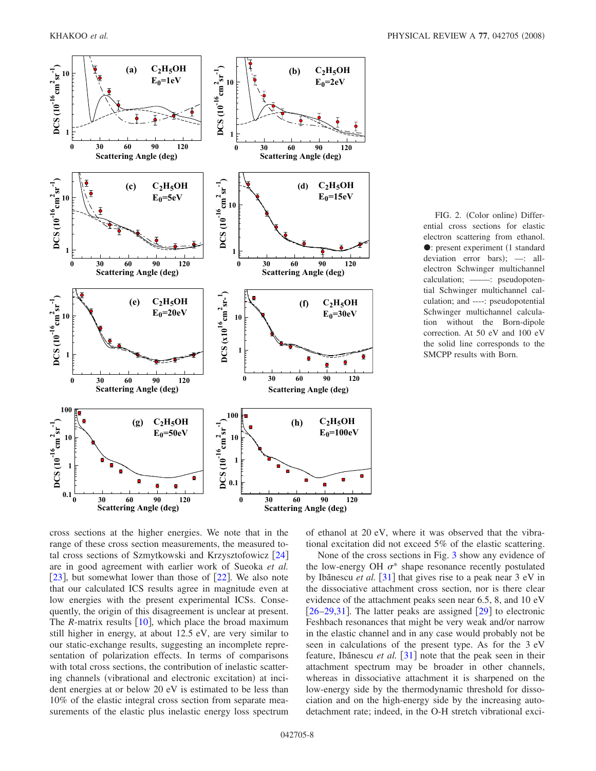<span id="page-7-0"></span>

FIG. 2. (Color online) Differential cross sections for elastic electron scattering from ethanol. • present experiment (1 standard deviation error bars); -: allelectron Schwinger multichannel calculation; ——: pseudopotential Schwinger multichannel calculation; and ----: pseudopotential Schwinger multichannel calculation without the Born-dipole correction. At 50 eV and 100 eV the solid line corresponds to the SMCPP results with Born.

cross sections at the higher energies. We note that in the range of these cross section measurements, the measured total cross sections of Szmytkowski and Krzysztofowicz  $[24]$  $[24]$  $[24]$ are in good agreement with earlier work of Sueoka *et al.* [[23](#page-9-5)], but somewhat lower than those of  $[22]$  $[22]$  $[22]$ . We also note that our calculated ICS results agree in magnitude even at low energies with the present experimental ICSs. Consequently, the origin of this disagreement is unclear at present. The *R*-matrix results  $\left[10\right]$  $\left[10\right]$  $\left[10\right]$ , which place the broad maximum still higher in energy, at about 12.5 eV, are very similar to our static-exchange results, suggesting an incomplete representation of polarization effects. In terms of comparisons with total cross sections, the contribution of inelastic scattering channels (vibrational and electronic excitation) at incident energies at or below 20 eV is estimated to be less than 10% of the elastic integral cross section from separate measurements of the elastic plus inelastic energy loss spectrum of ethanol at 20 eV, where it was observed that the vibrational excitation did not exceed 5% of the elastic scattering.

None of the cross sections in Fig. [3](#page-8-13) show any evidence of the low-energy OH  $\sigma^*$  shape resonance recently postulated by Ibănescu *et al.* [[31](#page-9-13)] that gives rise to a peak near 3 eV in the dissociative attachment cross section, nor is there clear evidence of the attachment peaks seen near 6.5, 8, and 10 eV  $\left[26-29,31\right]$  $\left[26-29,31\right]$  $\left[26-29,31\right]$  $\left[26-29,31\right]$  $\left[26-29,31\right]$ . The latter peaks are assigned  $\left[29\right]$  $\left[29\right]$  $\left[29\right]$  to electronic Feshbach resonances that might be very weak and/or narrow in the elastic channel and in any case would probably not be seen in calculations of the present type. As for the 3 eV feature, Ibănescu *et al.* [[31](#page-9-13)] note that the peak seen in their attachment spectrum may be broader in other channels, whereas in dissociative attachment it is sharpened on the low-energy side by the thermodynamic threshold for dissociation and on the high-energy side by the increasing autodetachment rate; indeed, in the O-H stretch vibrational exci-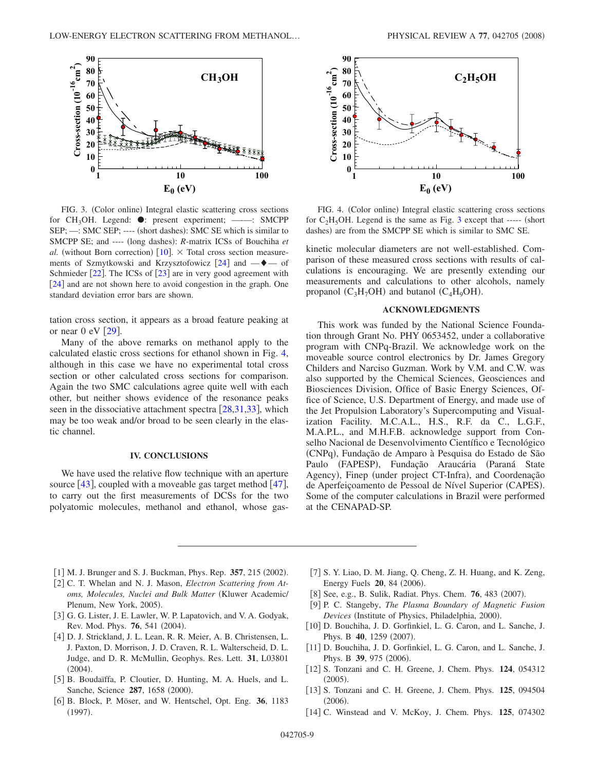<span id="page-8-13"></span>

FIG. 3. (Color online) Integral elastic scattering cross sections for CH<sub>3</sub>OH. Legend:  $\bullet$ : present experiment; ——: SMCPP SEP; -: SMC SEP; ---- (short dashes): SMC SE which is similar to SMCPP SE; and ---- (long dashes): *R*-matrix ICSs of Bouchiha et *al.* (without Born correction)  $[10]$  $[10]$  $[10]$ .  $\times$  Total cross section measurements of Szmytkowski and Krzysztofowicz  $[24]$  $[24]$  $[24]$  and  $-\blacklozenge$  of Schmieder  $[22]$  $[22]$  $[22]$ . The ICSs of  $[23]$  $[23]$  $[23]$  are in very good agreement with [[24](#page-9-6)] and are not shown here to avoid congestion in the graph. One standard deviation error bars are shown.

tation cross section, it appears as a broad feature peaking at or near  $0 \text{ eV}$  [[29](#page-9-11)].

Many of the above remarks on methanol apply to the calculated elastic cross sections for ethanol shown in Fig. [4,](#page-8-14) although in this case we have no experimental total cross section or other calculated cross sections for comparison. Again the two SMC calculations agree quite well with each other, but neither shows evidence of the resonance peaks seen in the dissociative attachment spectra  $[28,31,33]$  $[28,31,33]$  $[28,31,33]$  $[28,31,33]$  $[28,31,33]$ , which may be too weak and/or broad to be seen clearly in the elastic channel.

### **IV. CONCLUSIONS**

We have used the relative flow technique with an aperture source  $[43]$  $[43]$  $[43]$ , coupled with a moveable gas target method  $[47]$  $[47]$  $[47]$ , to carry out the first measurements of DCSs for the two polyatomic molecules, methanol and ethanol, whose gas-

<span id="page-8-14"></span>

FIG. 4. (Color online) Integral elastic scattering cross sections for  $C_2H_5OH$ . Legend is the same as Fig. [3](#page-8-13) except that ----- (short dashes) are from the SMCPP SE which is similar to SMC SE.

kinetic molecular diameters are not well-established. Comparison of these measured cross sections with results of calculations is encouraging. We are presently extending our measurements and calculations to other alcohols, namely propanol  $(C_3H_7OH)$  and butanol  $(C_4H_9OH)$ .

#### **ACKNOWLEDGMENTS**

This work was funded by the National Science Foundation through Grant No. PHY 0653452, under a collaborative program with CNPq-Brazil. We acknowledge work on the moveable source control electronics by Dr. James Gregory Childers and Narciso Guzman. Work by V.M. and C.W. was also supported by the Chemical Sciences, Geosciences and Biosciences Division, Office of Basic Energy Sciences, Office of Science, U.S. Department of Energy, and made use of the Jet Propulsion Laboratory's Supercomputing and Visualization Facility. M.C.A.L., H.S., R.F. da C., L.G.F., M.A.P.L., and M.H.F.B. acknowledge support from Conselho Nacional de Desenvolvimento Científico e Tecnológico (CNPq), Fundação de Amparo à Pesquisa do Estado de São Paulo (FAPESP), Fundação Araucária (Paraná State Agency), Finep (under project CT-Infra), and Coordenação de Aperfeiçoamento de Pessoal de Nível Superior (CAPES). Some of the computer calculations in Brazil were performed at the CENAPAD-SP.

- <span id="page-8-0"></span>[1] M. J. Brunger and S. J. Buckman, Phys. Rep. 357, 215 (2002).
- [2] C. T. Whelan and N. J. Mason, *Electron Scattering from Atoms, Molecules, Nuclei and Bulk Matter* Kluwer Academic/ Plenum, New York, 2005).
- <span id="page-8-1"></span>[3] G. G. Lister, J. E. Lawler, W. P. Lapatovich, and V. A. Godyak, Rev. Mod. Phys. **76**, 541 (2004).
- <span id="page-8-2"></span>[4] D. J. Strickland, J. L. Lean, R. R. Meier, A. B. Christensen, L. J. Paxton, D. Morrison, J. D. Craven, R. L. Walterscheid, D. L. Judge, and D. R. McMullin, Geophys. Res. Lett. **31**, L03801  $(2004).$
- <span id="page-8-3"></span>[5] B. Boudaïffa, P. Cloutier, D. Hunting, M. A. Huels, and L. Sanche, Science 287, 1658 (2000).
- <span id="page-8-4"></span>6 B. Block, P. Möser, and W. Hentschel, Opt. Eng. **36**, 1183  $(1997).$
- <span id="page-8-5"></span>[7] S. Y. Liao, D. M. Jiang, Q. Cheng, Z. H. Huang, and K. Zeng, Energy Fuels 20, 84 (2006).
- <span id="page-8-6"></span>[8] See, e.g., B. Sulik, Radiat. Phys. Chem. **76**, 483 (2007).
- <span id="page-8-7"></span>9 P. C. Stangeby, *The Plasma Boundary of Magnetic Fusion* Devices (Institute of Physics, Philadelphia, 2000).
- <span id="page-8-8"></span>[10] D. Bouchiha, J. D. Gorfinkiel, L. G. Caron, and L. Sanche, J. Phys. B 40, 1259 (2007).
- <span id="page-8-9"></span>[11] D. Bouchiha, J. D. Gorfinkiel, L. G. Caron, and L. Sanche, J. Phys. B 39, 975 (2006).
- <span id="page-8-10"></span>12 S. Tonzani and C. H. Greene, J. Chem. Phys. **124**, 054312  $(2005).$
- <span id="page-8-11"></span>13 S. Tonzani and C. H. Greene, J. Chem. Phys. **125**, 094504  $(2006).$
- <span id="page-8-12"></span>14 C. Winstead and V. McKoy, J. Chem. Phys. **125**, 074302